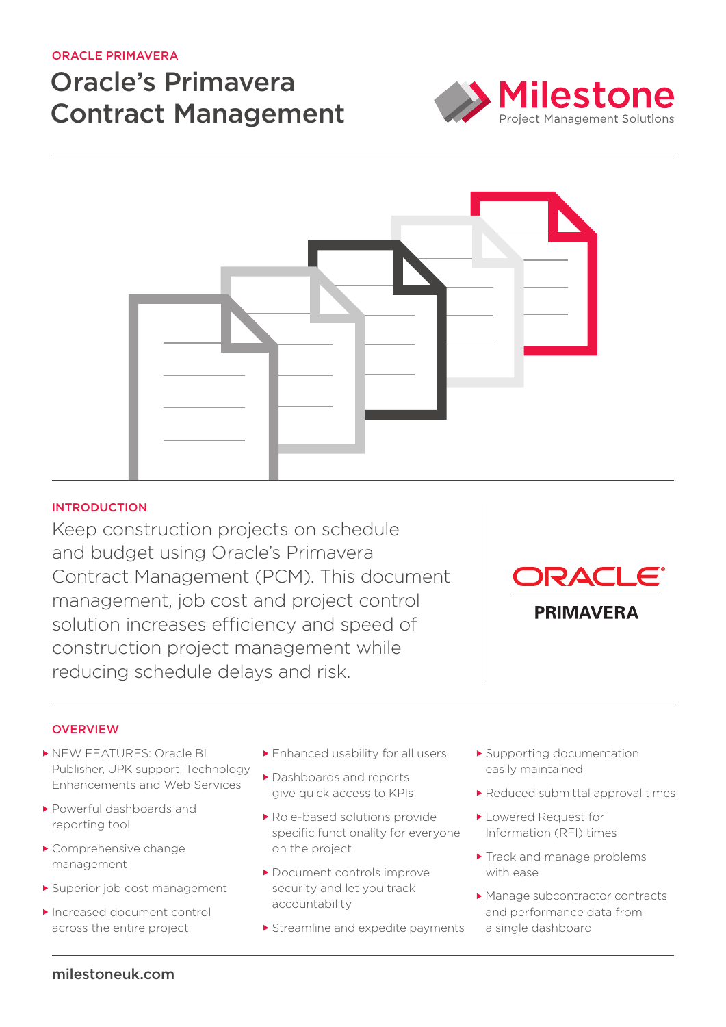## Oracle Primavera

# Oracle's Primavera Contract Management





# **INTRODUCTION**

Keep construction projects on schedule and budget using Oracle's Primavera Contract Management (PCM). This document management, job cost and project control solution increases efficiency and speed of construction project management while reducing schedule delays and risk.



#### **OVERVIEW**

- **NEW FEATURES: Oracle BI** Publisher, UPK support, Technology Enhancements and Web Services
- Powerful dashboards and reporting tool
- Comprehensive change management
- Superior job cost management
- ▶ Increased document control across the entire project
- Enhanced usability for all users
- Dashboards and reports give quick access to KPIs
- Role-based solutions provide specific functionality for everyone on the project
- ▶ Document controls improve security and let you track accountability
- Streamline and expedite payments
- Supporting documentation easily maintained
- Reduced submittal approval times
- Lowered Request for Information (RFI) times
- Track and manage problems with ease
- ▶ Manage subcontractor contracts and performance data from a single dashboard

## milestoneuk.com